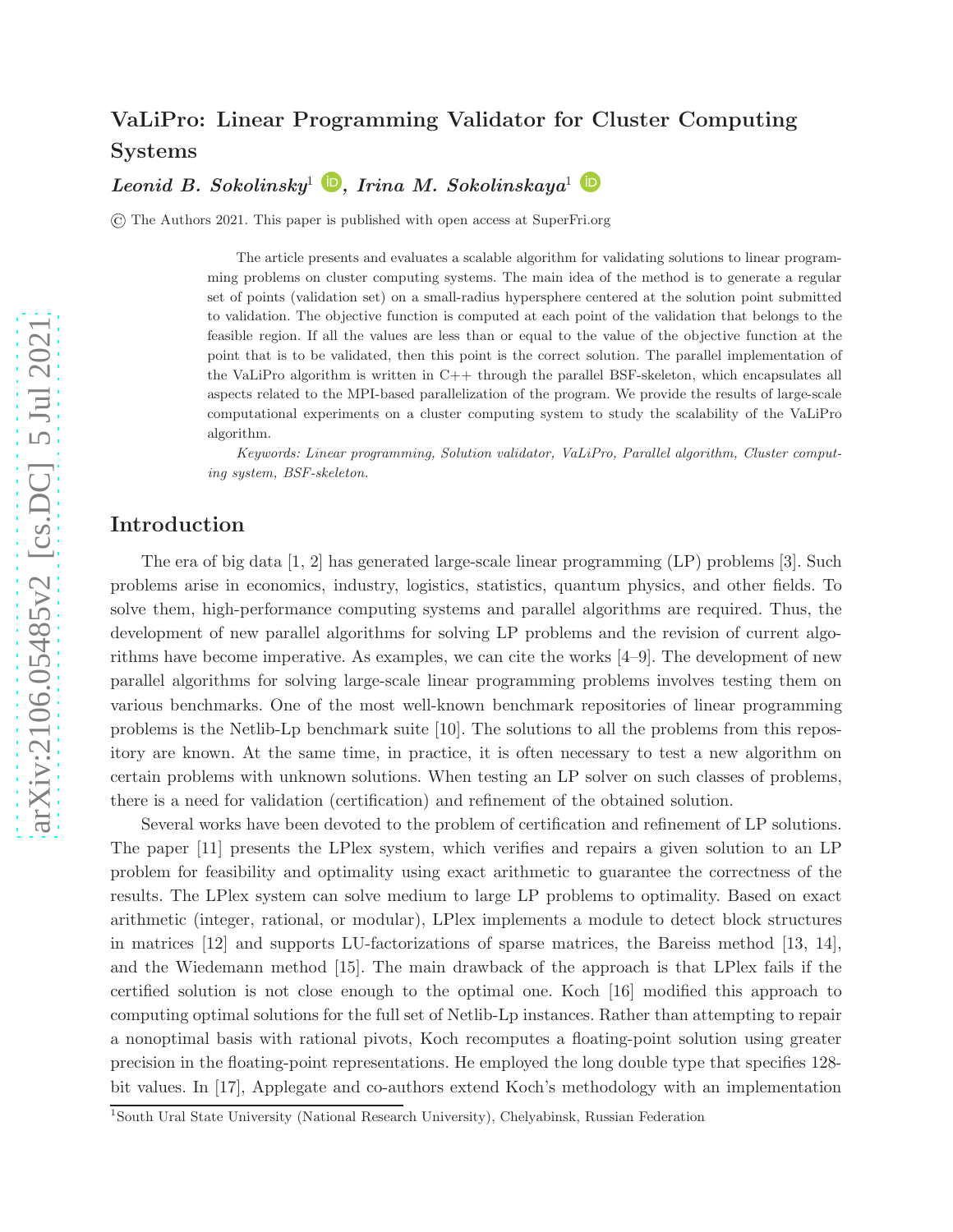# <span id="page-0-0"></span>VaLiPro: Linear Programming Validator for Cluster Computing Systems

Leonid B. Sokolinsky<sup>[1](#page-0-0)</sup>  $\bigcirc$ [,](https://orcid.org/0000-0001-9997-3918) Irina M. Sokolinskaya<sup>1</sup>

© The Authors 2021. This paper is published with open access at SuperFri.org

The article presents and evaluates a scalable algorithm for validating solutions to linear programming problems on cluster computing systems. The main idea of the method is to generate a regular set of points (validation set) on a small-radius hypersphere centered at the solution point submitted to validation. The objective function is computed at each point of the validation that belongs to the feasible region. If all the values are less than or equal to the value of the objective function at the point that is to be validated, then this point is the correct solution. The parallel implementation of the VaLiPro algorithm is written in C++ through the parallel BSF-skeleton, which encapsulates all aspects related to the MPI-based parallelization of the program. We provide the results of large-scale computational experiments on a cluster computing system to study the scalability of the VaLiPro algorithm.

*Keywords: Linear programming, Solution validator, VaLiPro, Parallel algorithm, Cluster computing system, BSF-skeleton.*

#### Introduction

The era of big data [\[1,](#page-9-0) [2\]](#page-9-1) has generated large-scale linear programming (LP) problems [\[3\]](#page-9-2). Such problems arise in economics, industry, logistics, statistics, quantum physics, and other fields. To solve them, high-performance computing systems and parallel algorithms are required. Thus, the development of new parallel algorithms for solving LP problems and the revision of current algorithms have become imperative. As examples, we can cite the works [\[4–](#page-9-3)[9\]](#page-9-4). The development of new parallel algorithms for solving large-scale linear programming problems involves testing them on various benchmarks. One of the most well-known benchmark repositories of linear programming problems is the Netlib-Lp benchmark suite [\[10\]](#page-9-5). The solutions to all the problems from this repository are known. At the same time, in practice, it is often necessary to test a new algorithm on certain problems with unknown solutions. When testing an LP solver on such classes of problems, there is a need for validation (certification) and refinement of the obtained solution.

Several works have been devoted to the problem of certification and refinement of LP solutions. The paper [\[11\]](#page-10-0) presents the LPlex system, which verifies and repairs a given solution to an LP problem for feasibility and optimality using exact arithmetic to guarantee the correctness of the results. The LPlex system can solve medium to large LP problems to optimality. Based on exact arithmetic (integer, rational, or modular), LPlex implements a module to detect block structures in matrices [\[12\]](#page-10-1) and supports LU-factorizations of sparse matrices, the Bareiss method [\[13,](#page-10-2) [14\]](#page-10-3), and the Wiedemann method [\[15\]](#page-10-4). The main drawback of the approach is that LPlex fails if the certified solution is not close enough to the optimal one. Koch [\[16\]](#page-10-5) modified this approach to computing optimal solutions for the full set of Netlib-Lp instances. Rather than attempting to repair a nonoptimal basis with rational pivots, Koch recomputes a floating-point solution using greater precision in the floating-point representations. He employed the long double type that specifies 128 bit values. In [\[17\]](#page-10-6), Applegate and co-authors extend Koch's methodology with an implementation

<sup>1</sup>South Ural State University (National Research University), Chelyabinsk, Russian Federation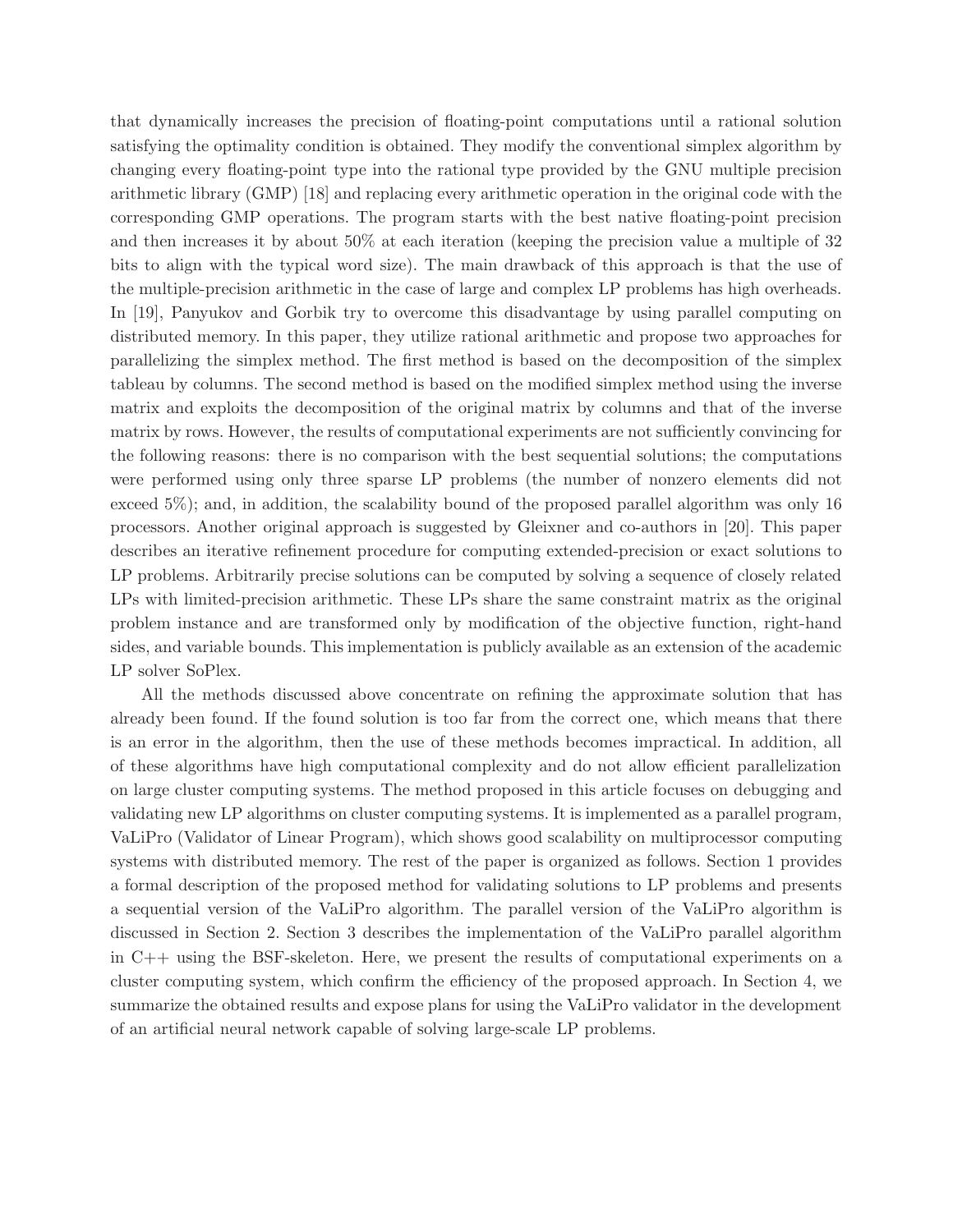that dynamically increases the precision of floating-point computations until a rational solution satisfying the optimality condition is obtained. They modify the conventional simplex algorithm by changing every floating-point type into the rational type provided by the GNU multiple precision arithmetic library (GMP) [\[18\]](#page-10-7) and replacing every arithmetic operation in the original code with the corresponding GMP operations. The program starts with the best native floating-point precision and then increases it by about 50% at each iteration (keeping the precision value a multiple of 32 bits to align with the typical word size). The main drawback of this approach is that the use of the multiple-precision arithmetic in the case of large and complex LP problems has high overheads. In [\[19\]](#page-10-8), Panyukov and Gorbik try to overcome this disadvantage by using parallel computing on distributed memory. In this paper, they utilize rational arithmetic and propose two approaches for parallelizing the simplex method. The first method is based on the decomposition of the simplex tableau by columns. The second method is based on the modified simplex method using the inverse matrix and exploits the decomposition of the original matrix by columns and that of the inverse matrix by rows. However, the results of computational experiments are not sufficiently convincing for the following reasons: there is no comparison with the best sequential solutions; the computations were performed using only three sparse LP problems (the number of nonzero elements did not exceed 5%); and, in addition, the scalability bound of the proposed parallel algorithm was only 16 processors. Another original approach is suggested by Gleixner and co-authors in [\[20\]](#page-10-9). This paper describes an iterative refinement procedure for computing extended-precision or exact solutions to LP problems. Arbitrarily precise solutions can be computed by solving a sequence of closely related LPs with limited-precision arithmetic. These LPs share the same constraint matrix as the original problem instance and are transformed only by modification of the objective function, right-hand sides, and variable bounds. This implementation is publicly available as an extension of the academic LP solver SoPlex.

All the methods discussed above concentrate on refining the approximate solution that has already been found. If the found solution is too far from the correct one, which means that there is an error in the algorithm, then the use of these methods becomes impractical. In addition, all of these algorithms have high computational complexity and do not allow efficient parallelization on large cluster computing systems. The method proposed in this article focuses on debugging and validating new LP algorithms on cluster computing systems. It is implemented as a parallel program, VaLiPro (Validator of Linear Program), which shows good scalability on multiprocessor computing systems with distributed memory. The rest of the paper is organized as follows. Section [1](#page-2-0) provides a formal description of the proposed method for validating solutions to LP problems and presents a sequential version of the VaLiPro algorithm. The parallel version of the VaLiPro algorithm is discussed in Section [2.](#page-5-0) Section [3](#page-7-0) describes the implementation of the VaLiPro parallel algorithm in C++ using the BSF-skeleton. Here, we present the results of computational experiments on a cluster computing system, which confirm the efficiency of the proposed approach. In Section [4,](#page-8-0) we summarize the obtained results and expose plans for using the VaLiPro validator in the development of an artificial neural network capable of solving large-scale LP problems.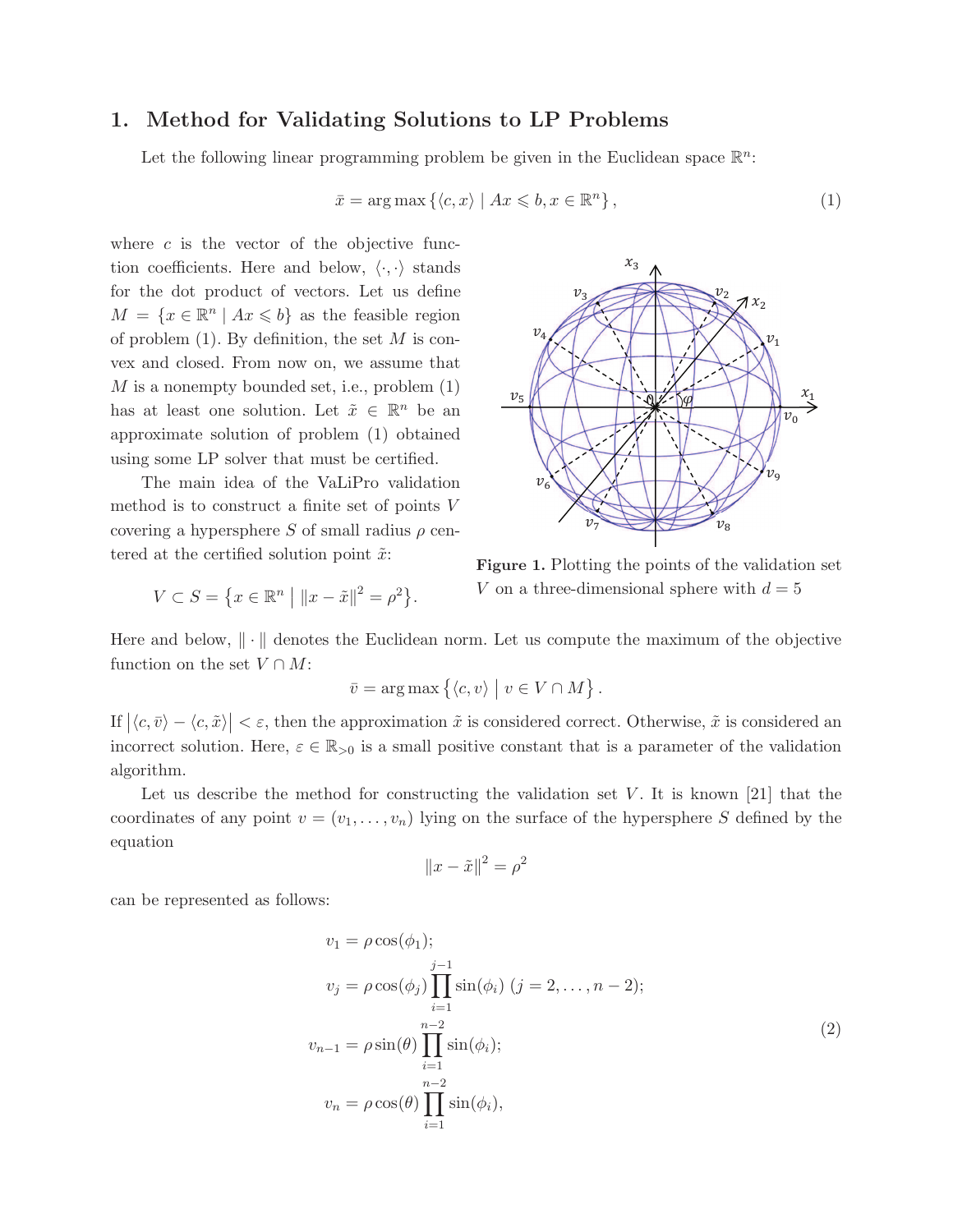#### <span id="page-2-0"></span>1. Method for Validating Solutions to LP Problems

Let the following linear programming problem be given in the Euclidean space  $\mathbb{R}^n$ :

$$
\bar{x} = \arg \max \left\{ \langle c, x \rangle \mid Ax \leqslant b, x \in \mathbb{R}^n \right\},\tag{1}
$$

where  $c$  is the vector of the objective function coefficients. Here and below,  $\langle \cdot, \cdot \rangle$  stands for the dot product of vectors. Let us define  $M = \{x \in \mathbb{R}^n \mid Ax \leq b\}$  as the feasible region of problem  $(1)$ . By definition, the set M is convex and closed. From now on, we assume that  $M$  is a nonempty bounded set, i.e., problem  $(1)$ has at least one solution. Let  $\tilde{x} \in \mathbb{R}^n$  be an approximate solution of problem [\(1\)](#page-2-1) obtained using some LP solver that must be certified.

The main idea of the VaLiPro validation method is to construct a finite set of points V covering a hypersphere S of small radius  $\rho$  centered at the certified solution point  $\tilde{x}$ :

<span id="page-2-2"></span><span id="page-2-1"></span>
$$
v_{2}
$$

$$
V \subset S = \{ x \in \mathbb{R}^n \mid ||x - \tilde{x}||^2 = \rho^2 \}.
$$



Here and below,  $\|\cdot\|$  denotes the Euclidean norm. Let us compute the maximum of the objective function on the set  $V \cap M$ :

$$
\bar{v} = \arg \max \left\{ \langle c, v \rangle \mid v \in V \cap M \right\}.
$$

If  $|\langle c, \bar{v} \rangle - \langle c, \tilde{x} \rangle| < \varepsilon$ , then the approximation  $\tilde{x}$  is considered correct. Otherwise,  $\tilde{x}$  is considered an incorrect solution. Here,  $\varepsilon \in \mathbb{R}_{\geq 0}$  is a small positive constant that is a parameter of the validation algorithm.

Let us describe the method for constructing the validation set  $V$ . It is known [\[21\]](#page-10-10) that the coordinates of any point  $v = (v_1, \ldots, v_n)$  lying on the surface of the hypersphere S defined by the equation

$$
||x - \tilde{x}||^2 = \rho^2
$$

can be represented as follows:

<span id="page-2-3"></span>
$$
v_1 = \rho \cos(\phi_1);
$$
  
\n
$$
v_j = \rho \cos(\phi_j) \prod_{i=1}^{j-1} \sin(\phi_i) \quad (j = 2, \dots, n-2);
$$
  
\n
$$
v_{n-1} = \rho \sin(\theta) \prod_{i=1}^{n-2} \sin(\phi_i);
$$
  
\n
$$
v_n = \rho \cos(\theta) \prod_{i=1}^{n-2} \sin(\phi_i),
$$
  
\n(2)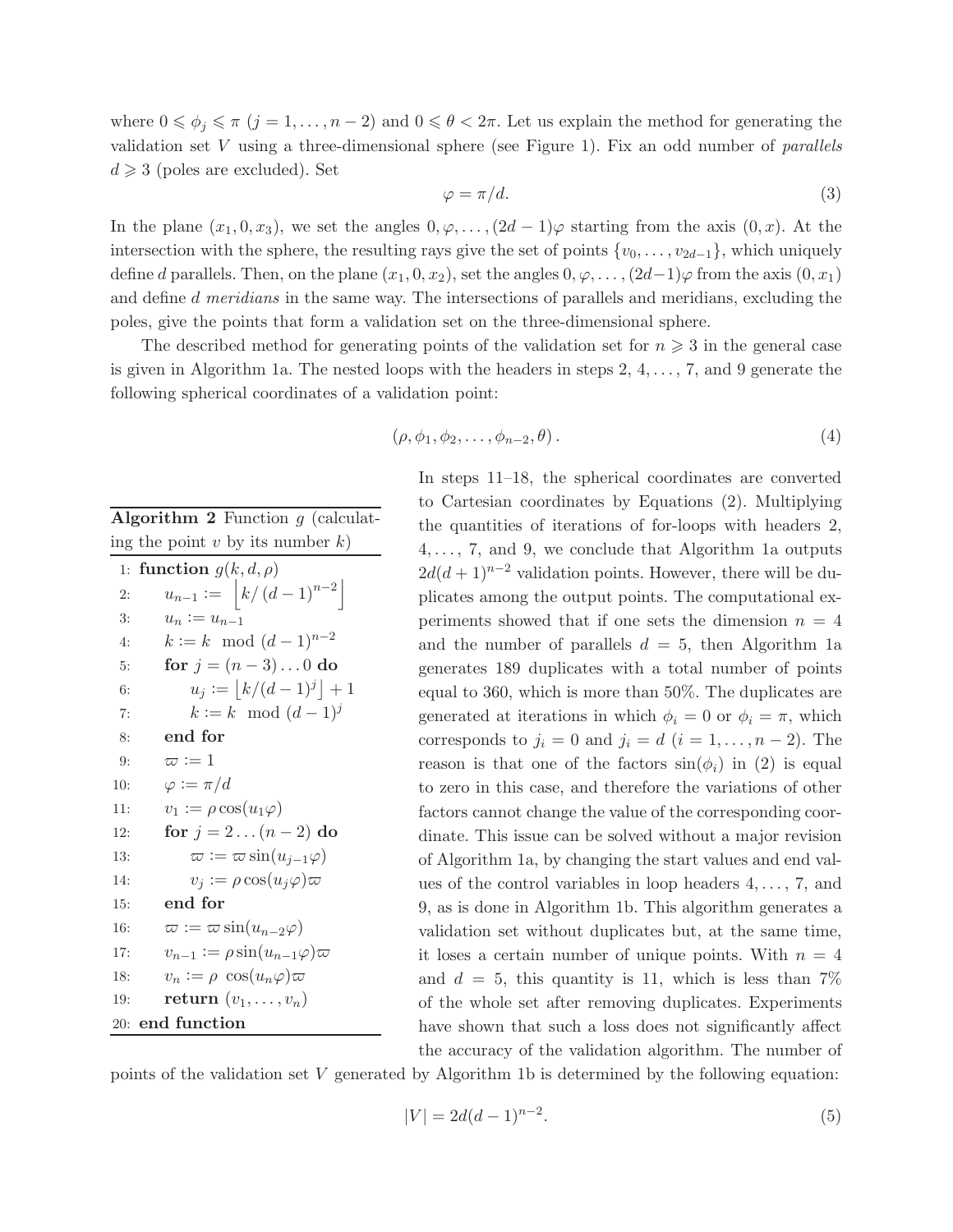where  $0 \leq \phi_j \leq \pi$   $(j = 1, \ldots, n-2)$  and  $0 \leq \theta < 2\pi$ . Let us explain the method for generating the validation set  $V$  using a three-dimensional sphere (see Figure [1\)](#page-2-2). Fix an odd number of *parallels*  $d \geqslant 3$  (poles are excluded). Set

<span id="page-3-1"></span>
$$
\varphi = \pi/d. \tag{3}
$$

In the plane  $(x_1, 0, x_3)$ , we set the angles  $0, \varphi, \ldots, (2d-1)\varphi$  starting from the axis  $(0, x)$ . At the intersection with the sphere, the resulting rays give the set of points  $\{v_0, \ldots, v_{2d-1}\}\,$ , which uniquely define d parallels. Then, on the plane  $(x_1, 0, x_2)$ , set the angles  $0, \varphi, \ldots, (2d-1)\varphi$  from the axis  $(0, x_1)$ and define d meridians in the same way. The intersections of parallels and meridians, excluding the poles, give the points that form a validation set on the three-dimensional sphere.

The described method for generating points of the validation set for  $n \geqslant 3$  in the general case is given in Algorithm [1a](#page-4-0). The nested loops with the headers in steps  $2, 4, \ldots, 7$ , and 9 generate the following spherical coordinates of a validation point:

<span id="page-3-0"></span>Algorithm 2 Function  $g$  (calculating the point v by its number  $k$ )

| 1:  | function $g(k, d, \rho)$                     |
|-----|----------------------------------------------|
| 2:  | $u_{n-1} :=  k/(d-1)^{n-2} $                 |
| 3:  | $u_n := u_{n-1}$                             |
| 4:  | $k := k \mod (d-1)^{n-2}$                    |
| 5:  | for $j = (n - 3)  0$ do                      |
| 6:  | $u_i :=  k/(d-1)^j  + 1$                     |
| 7:  | $k := k \mod (d-1)^j$                        |
| 8:  | end for                                      |
| 9:  | $\varpi := 1$                                |
| 10: | $\varphi := \pi/d$                           |
| 11: | $v_1 := \rho \cos(u_1\varphi)$               |
| 12: | for $j = 2 (n-2)$ do                         |
| 13: | $\varpi := \varpi \sin(u_{i-1}\varphi)$      |
| 14: | $v_j := \rho \cos(u_j \varphi) \varpi$       |
| 15: | end for                                      |
| 16: | $\varpi := \varpi \sin(u_{n-2}\varphi)$      |
| 17: | $v_{n-1} := \rho \sin(u_{n-1}\varphi)\varpi$ |
| 18: | $v_n := \rho \cos(u_n \varphi) \varpi$       |
| 19: | return $(v_1, \ldots, v_n)$                  |
| 20: | end function                                 |

$$
(\rho, \phi_1, \phi_2, \dots, \phi_{n-2}, \theta). \tag{4}
$$

In steps 11–18, the spherical coordinates are converted to Cartesian coordinates by Equations [\(2\)](#page-2-3). Multiplying the quantities of iterations of for-loops with headers 2,  $4, \ldots, 7$ , and 9, we conclude that Algorithm [1a](#page-4-0) outputs  $2d(d+1)^{n-2}$  validation points. However, there will be duplicates among the output points. The computational experiments showed that if one sets the dimension  $n = 4$ and the number of parallels  $d = 5$ , then Algorithm [1a](#page-4-0) generates 189 duplicates with a total number of points equal to 360, which is more than 50%. The duplicates are generated at iterations in which  $\phi_i = 0$  or  $\phi_i = \pi$ , which corresponds to  $j_i = 0$  and  $j_i = d$   $(i = 1, \ldots, n-2)$ . The reason is that one of the factors  $sin(\phi_i)$  in [\(2\)](#page-2-3) is equal to zero in this case, and therefore the variations of other factors cannot change the value of the corresponding coordinate. This issue can be solved without a major revision of Algorithm [1a](#page-4-0), by changing the start values and end values of the control variables in loop headers  $4, \ldots, 7$ , and 9, as is done in Algorithm [1b](#page-4-0). This algorithm generates a validation set without duplicates but, at the same time, it loses a certain number of unique points. With  $n = 4$ and  $d = 5$ , this quantity is 11, which is less than 7% of the whole set after removing duplicates. Experiments have shown that such a loss does not significantly affect the accuracy of the validation algorithm. The number of

points of the validation set V generated by Algorithm [1b](#page-4-0) is determined by the following equation:

<span id="page-3-2"></span>
$$
|V| = 2d(d-1)^{n-2}.\tag{5}
$$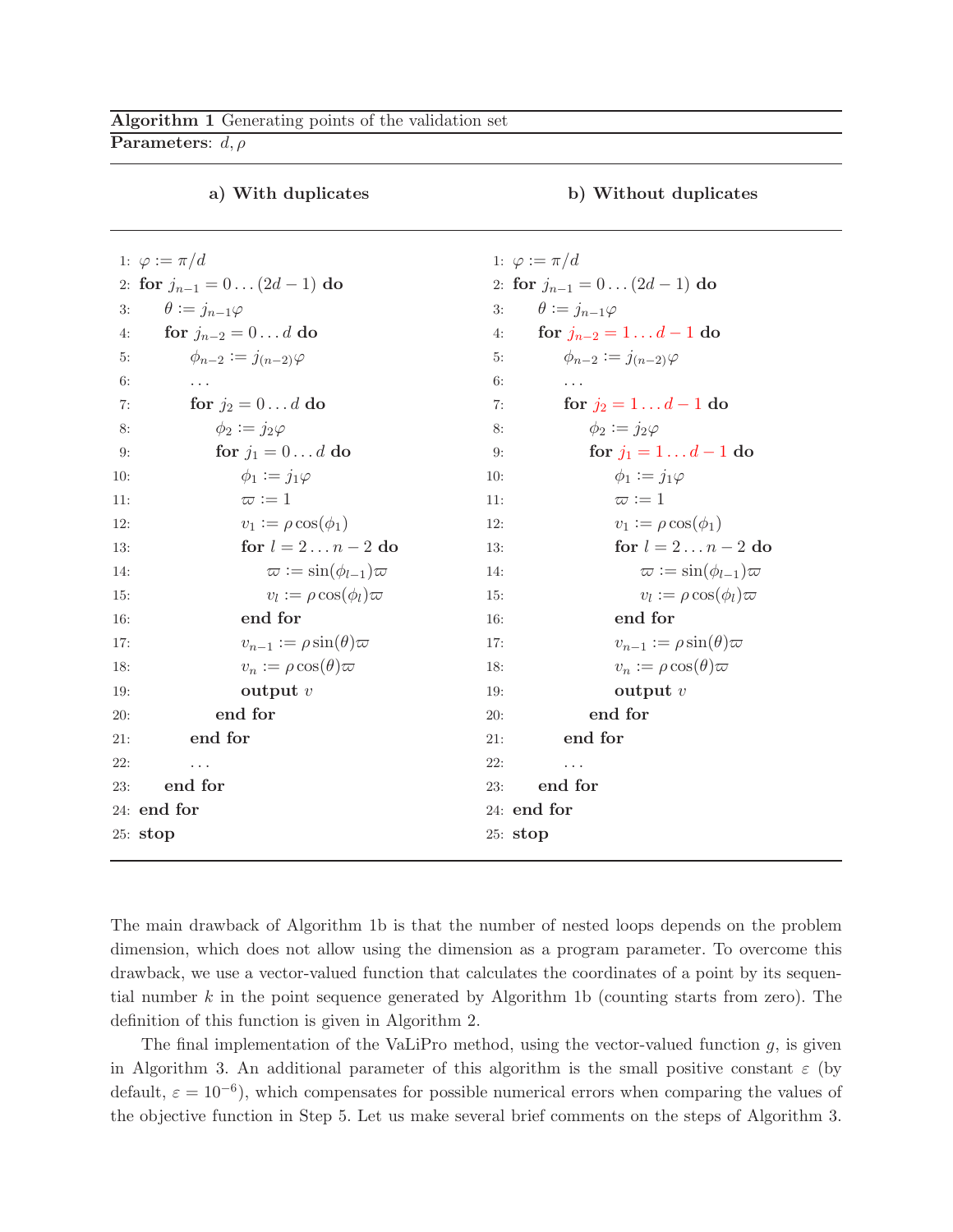<span id="page-4-0"></span>**Parameters:**  $d, \rho$ 

|                        | 1: $\varphi := \pi/d$                 |     | 1: $\varphi :=$ |
|------------------------|---------------------------------------|-----|-----------------|
|                        | 2: for $j_{n-1} = 0 \dots (2d-1)$ do  |     | 2: for $j$      |
| 3:                     | $\theta := j_{n-1}\varphi$            | 3:  | $\theta$        |
| 4:                     | for $j_{n-2}=0d$ do                   | 4:  | f               |
| 5:                     | $\phi_{n-2} := j_{(n-2)}\varphi$      | 5:  |                 |
| 6:                     |                                       | 6:  |                 |
| 7:                     | for $j_2 = 0 \dots d$ do              | 7:  |                 |
| 8:                     | $\phi_2 := j_2 \varphi$               | 8:  |                 |
| 9:                     | for $j_1 = 0 \dots d$ do              | 9:  |                 |
| 10:                    | $\phi_1 := j_1 \varphi$               | 10: |                 |
| 11:                    | $\varpi := 1$                         | 11: |                 |
| 12:                    | $v_1 := \rho \cos(\phi_1)$            | 12: |                 |
| 13:                    | for $l = 2n - 2$ do                   | 13: |                 |
| 14:                    | $\varpi := \sin(\phi_{l-1})\varpi$    | 14: |                 |
| 15:                    | $v_l := \rho \cos(\phi_l) \varpi$     | 15: |                 |
| 16:                    | end for                               | 16: |                 |
| 17:                    | $v_{n-1} := \rho \sin(\theta) \varpi$ | 17: |                 |
| 18:                    | $v_n := \rho \cos(\theta) \varpi$     | 18: |                 |
| 19:                    | output $v$                            | 19: |                 |
| 20:                    | end for                               | 20: |                 |
| 21:                    | end for                               | 21: |                 |
| 22:                    |                                       | 22: |                 |
| 23:                    | end for                               | 23: | e               |
| 24: end for<br>24: end |                                       |     |                 |
| 25:stop                |                                       |     | 25: stop        |

#### a) With duplicates b) Without duplicates

 $\pi/d$  $j_{n-1} = 0 \dots (2d-1)$  do  $:= j_{n-1}\varphi$ or  $j_{n-2} = 1 \dots d - 1$  do 5:  $\phi_{n-2} := j_{(n-2)}\varphi$ 6: . . . for  $j_2 = 1... d - 1$  do 8:  $\phi_2 := j_2 \varphi$ for  $j_1 = 1 \dots d - 1$  do 10:  $\phi_1 := j_1 \varphi$  $\varpi := 1$ 12:  $v_1 := \rho \cos(\phi_1)$ for  $l = 2 \dots n - 2$  do  $\varpi := \sin(\phi_{l-1})\varpi$ 15:  $v_l$  $v_l := \rho \cos(\phi_l) \varpi$ end for 17:  $v_{n-1} := \rho \sin(\theta) \varpi$  $v_n := \rho \cos(\theta) \varpi$ output  $v$ end for end for 22: . . . 23: end for for

The main drawback of Algorithm [1b](#page-4-0) is that the number of nested loops depends on the problem dimension, which does not allow using the dimension as a program parameter. To overcome this drawback, we use a vector-valued function that calculates the coordinates of a point by its sequen-tial number k in the point sequence generated by Algorithm [1b](#page-4-0) (counting starts from zero). The definition of this function is given in Algorithm [2.](#page-3-0)

The final implementation of the VaLiPro method, using the vector-valued function  $g$ , is given in Algorithm [3.](#page-5-1) An additional parameter of this algorithm is the small positive constant  $\varepsilon$  (by default,  $\varepsilon = 10^{-6}$ ), which compensates for possible numerical errors when comparing the values of the objective function in Step 5. Let us make several brief comments on the steps of Algorithm [3.](#page-5-1)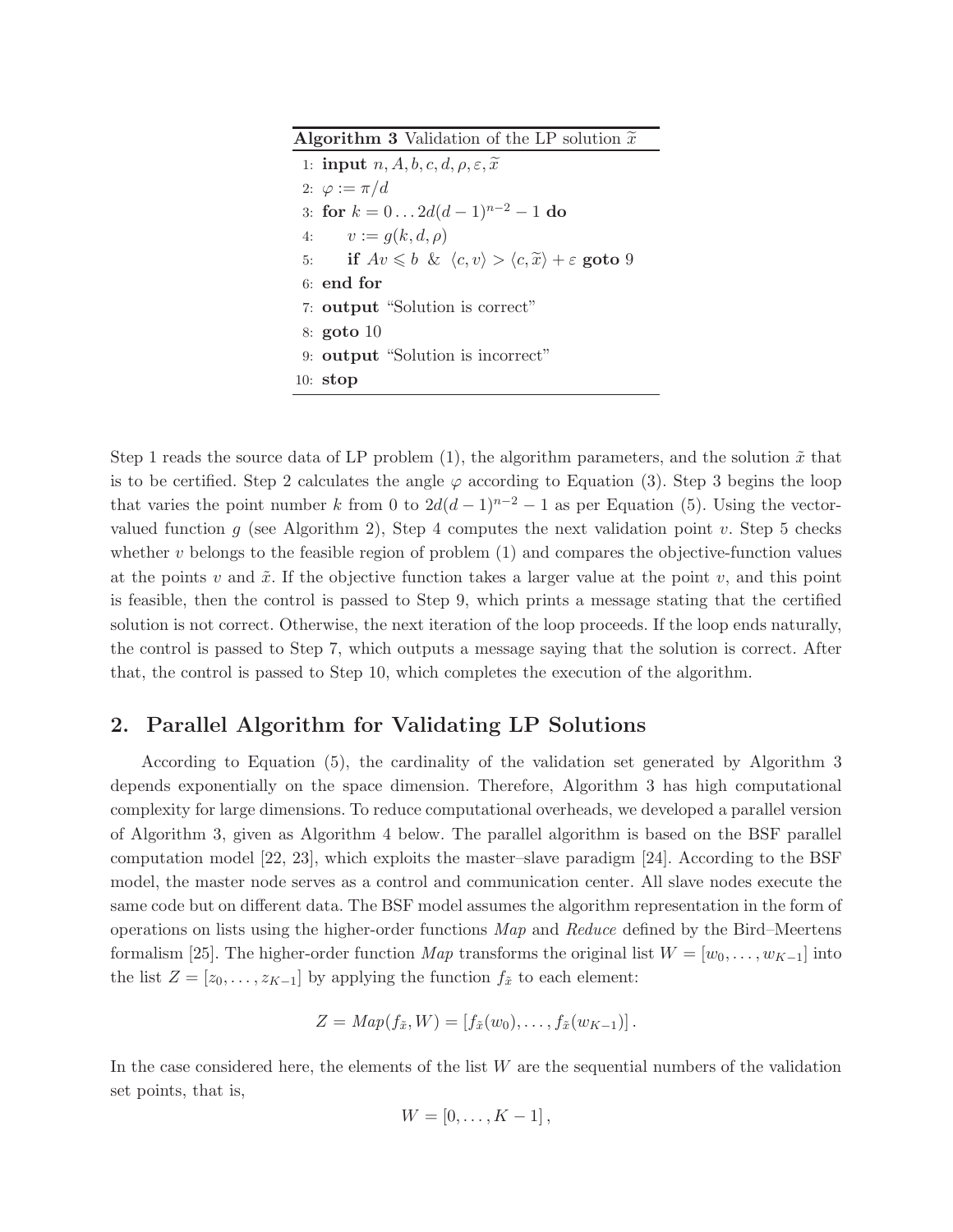<span id="page-5-1"></span>**Algorithm 3** Validation of the LP solution  $\tilde{x}$ 

1: input  $n, A, b, c, d, \rho, \varepsilon, \tilde{x}$ 2:  $\varphi := \pi/d$ 3: for  $k = 0...2d(d-1)^{n-2} - 1$  do 4:  $v := g(k, d, \rho)$ 5: if  $Av \leq b \& \langle c, v \rangle > \langle c, \tilde{x} \rangle + \varepsilon$  goto 9 6: end for 7: output "Solution is correct" 8: goto 10 9: output "Solution is incorrect" 10: stop

Step 1 reads the source data of LP problem [\(1\)](#page-2-1), the algorithm parameters, and the solution  $\tilde{x}$  that is to be certified. Step 2 calculates the angle  $\varphi$  according to Equation [\(3\)](#page-3-1). Step 3 begins the loop that varies the point number k from 0 to  $2d(d-1)^{n-2} - 1$  as per Equation [\(5\)](#page-3-2). Using the vector-valued function g (see Algorithm [2\)](#page-3-0), Step 4 computes the next validation point v. Step 5 checks whether  $v$  belongs to the feasible region of problem  $(1)$  and compares the objective-function values at the points v and  $\tilde{x}$ . If the objective function takes a larger value at the point v, and this point is feasible, then the control is passed to Step 9, which prints a message stating that the certified solution is not correct. Otherwise, the next iteration of the loop proceeds. If the loop ends naturally, the control is passed to Step 7, which outputs a message saying that the solution is correct. After that, the control is passed to Step 10, which completes the execution of the algorithm.

## <span id="page-5-0"></span>2. Parallel Algorithm for Validating LP Solutions

According to Equation [\(5\)](#page-3-2), the cardinality of the validation set generated by Algorithm [3](#page-5-1) depends exponentially on the space dimension. Therefore, Algorithm [3](#page-5-1) has high computational complexity for large dimensions. To reduce computational overheads, we developed a parallel version of Algorithm [3,](#page-5-1) given as Algorithm [4](#page-6-0) below. The parallel algorithm is based on the BSF parallel computation model [\[22,](#page-10-11) [23\]](#page-10-12), which exploits the master–slave paradigm [\[24\]](#page-10-13). According to the BSF model, the master node serves as a control and communication center. All slave nodes execute the same code but on different data. The BSF model assumes the algorithm representation in the form of operations on lists using the higher-order functions  $Map$  and Reduce defined by the Bird–Meertens formalism [\[25\]](#page-11-0). The higher-order function Map transforms the original list  $W = [w_0, \ldots, w_{K-1}]$  into the list  $Z = [z_0, \ldots, z_{K-1}]$  by applying the function  $f_{\tilde{x}}$  to each element:

$$
Z = Map(f_{\tilde{x}}, W) = [f_{\tilde{x}}(w_0), \ldots, f_{\tilde{x}}(w_{K-1})].
$$

In the case considered here, the elements of the list  $W$  are the sequential numbers of the validation set points, that is,

$$
W=[0,\ldots,K-1],
$$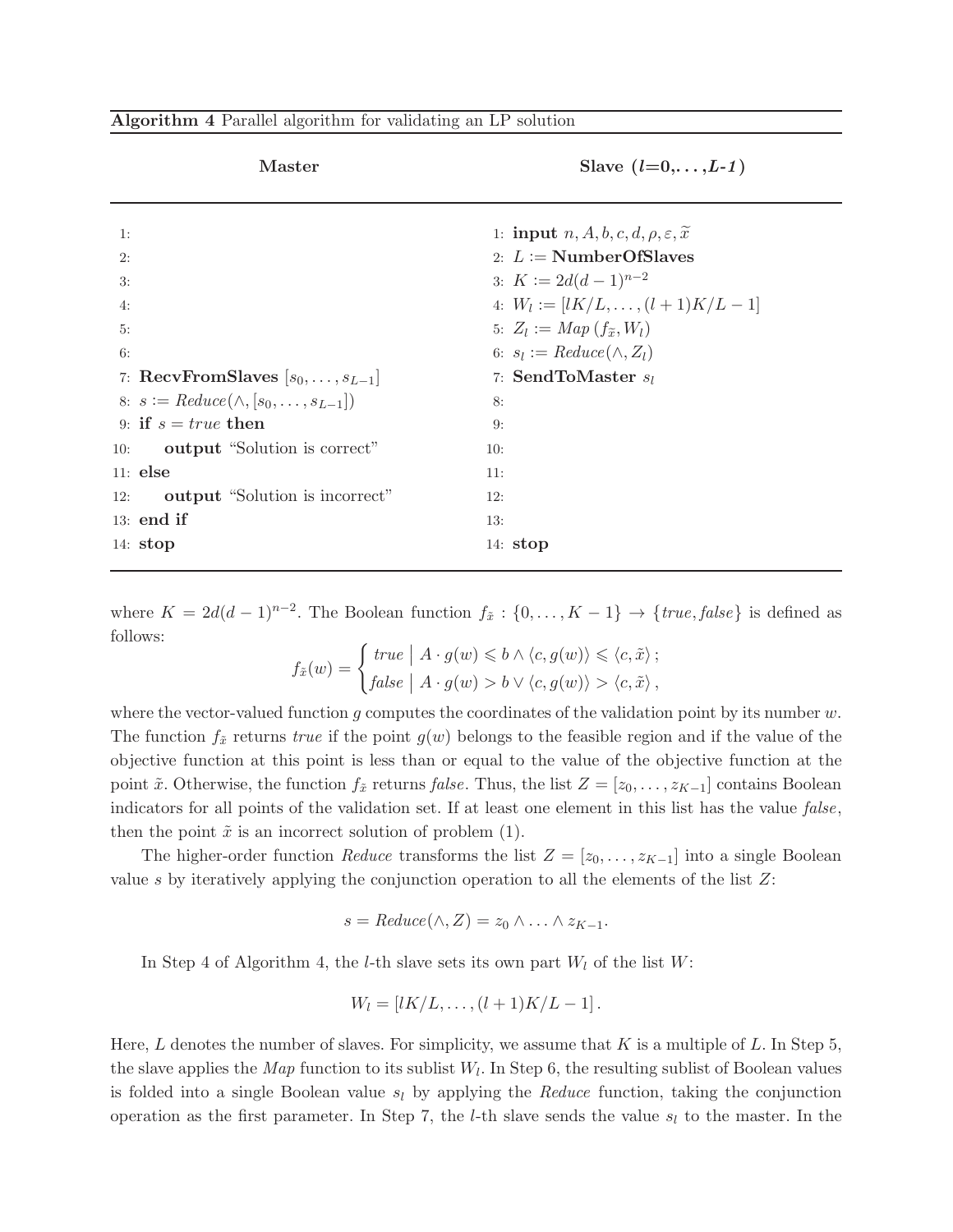<span id="page-6-0"></span>

| Algorithm 4 Parallel algorithm for validating an LP solution |  |  |  |  |  |  |  |  |  |
|--------------------------------------------------------------|--|--|--|--|--|--|--|--|--|
|--------------------------------------------------------------|--|--|--|--|--|--|--|--|--|

|                            | <b>Master</b>                                                                                                    | Slave $(l=0,\ldots,L-1)$                                                                                                                                                                                           |
|----------------------------|------------------------------------------------------------------------------------------------------------------|--------------------------------------------------------------------------------------------------------------------------------------------------------------------------------------------------------------------|
| 1:<br>2:<br>3:<br>4:<br>5: |                                                                                                                  | 1: <b>input</b> $n, A, b, c, d, \rho, \varepsilon, \tilde{x}$<br>2: $L := \text{NumberOfSlaves}$<br>3: $K := 2d(d-1)^{n-2}$<br>4: $W_l := [lK/L, \ldots, (l+1)K/L - 1]$<br>5: $Z_l := Map(f_{\widetilde{x}}, W_l)$ |
| 6:                         | 7: RecvFromSlaves $[s_0, \ldots, s_{L-1}]$                                                                       | 6: $s_l := Reduce(\wedge, Z_l)$<br>7: SendToMaster $s_l$                                                                                                                                                           |
| 10:                        | 8: $s := Reduce(\wedge, [s_0, \ldots, s_{L-1}])$<br>9: if $s = true$ then<br><b>output</b> "Solution is correct" | 8:<br>9:<br>10:                                                                                                                                                                                                    |
| $11:$ else<br>12:          | output "Solution is incorrect"<br>$13:$ end if                                                                   | 11:<br>12:<br>13:                                                                                                                                                                                                  |
| 14: $stop$                 |                                                                                                                  | 14: $stop$                                                                                                                                                                                                         |

where  $K = 2d(d-1)^{n-2}$ . The Boolean function  $f_{\tilde{x}} : \{0, \ldots, K-1\} \to \{true, false\}$  is defined as follows:

$$
f_{\tilde{x}}(w) = \begin{cases} \text{true} & |A \cdot g(w) \leq b \land \langle c, g(w) \rangle \leq \langle c, \tilde{x} \rangle; \\ \text{false} & |A \cdot g(w) > b \lor \langle c, g(w) \rangle > \langle c, \tilde{x} \rangle, \end{cases}
$$

where the vector-valued function g computes the coordinates of the validation point by its number  $w$ . The function  $f_{\tilde{x}}$  returns true if the point  $g(w)$  belongs to the feasible region and if the value of the objective function at this point is less than or equal to the value of the objective function at the point  $\tilde{x}$ . Otherwise, the function  $f_{\tilde{x}}$  returns false. Thus, the list  $Z = [z_0, \ldots, z_{K-1}]$  contains Boolean indicators for all points of the validation set. If at least one element in this list has the value false, then the point  $\tilde{x}$  is an incorrect solution of problem [\(1\)](#page-2-1).

The higher-order function Reduce transforms the list  $Z = [z_0, \ldots, z_{K-1}]$  into a single Boolean value s by iteratively applying the conjunction operation to all the elements of the list  $Z$ :

$$
s = Reduce(\wedge, Z) = z_0 \wedge \ldots \wedge z_{K-1}.
$$

In Step 4 of Algorithm [4,](#page-6-0) the *l*-th slave sets its own part  $W_l$  of the list  $W$ :

$$
W_l=[lK/L,\ldots,(l+1)K/L-1].
$$

Here, L denotes the number of slaves. For simplicity, we assume that K is a multiple of L. In Step 5, the slave applies the *Map* function to its sublist  $W_l$ . In Step 6, the resulting sublist of Boolean values is folded into a single Boolean value  $s_l$  by applying the Reduce function, taking the conjunction operation as the first parameter. In Step 7, the *l*-th slave sends the value  $s_l$  to the master. In the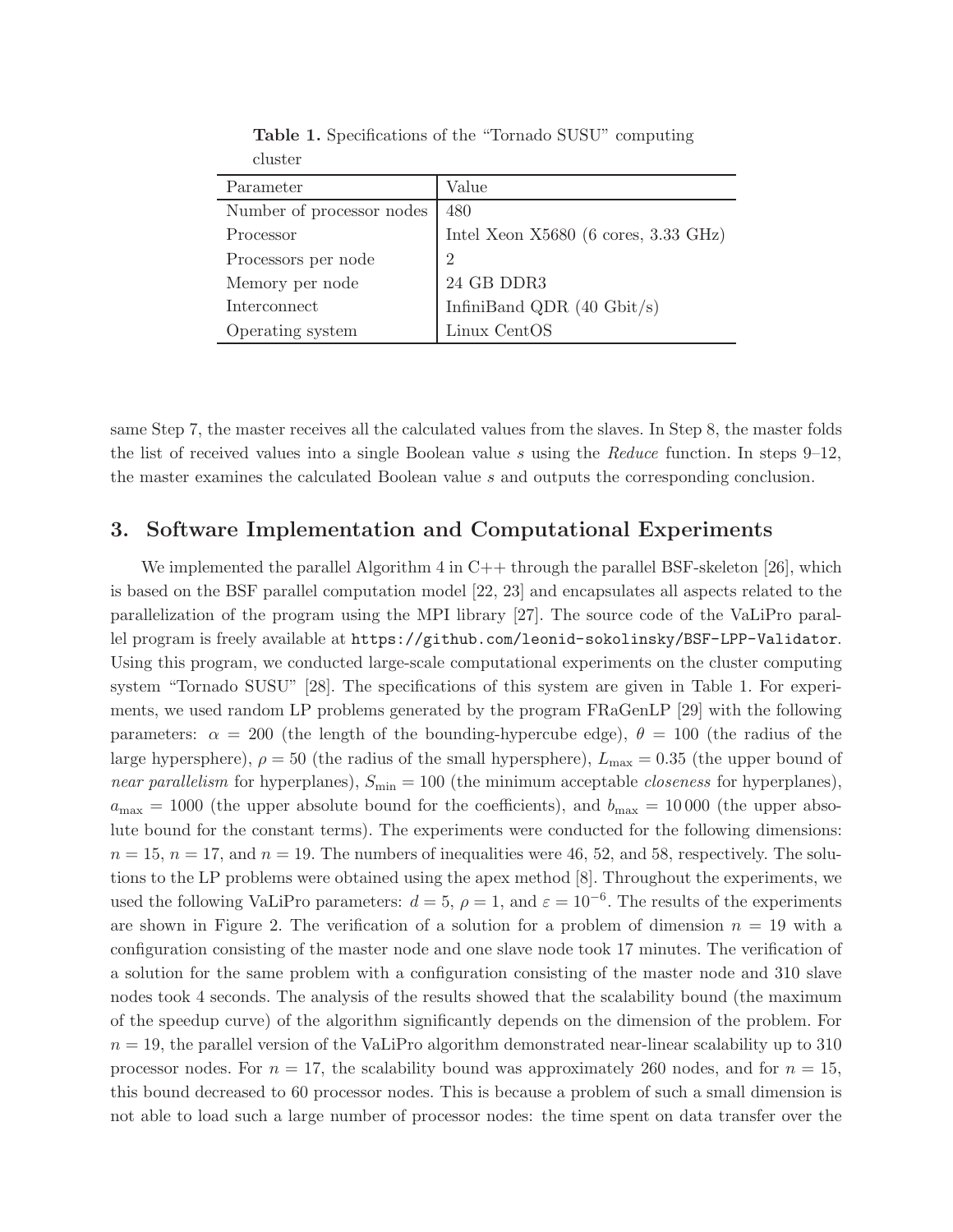<span id="page-7-1"></span>

| Parameter                 | Value                                  |
|---------------------------|----------------------------------------|
| Number of processor nodes | 480                                    |
| Processor                 | Intel Xeon $X5680$ (6 cores, 3.33 GHz) |
| Processors per node       | 2                                      |
| Memory per node           | 24 GB DDR3                             |
| Interconnect              | InfiniBand QDR $(40 \text{ Gbit/s})$   |
| Operating system          | Linux CentOS                           |

Table 1. Specifications of the "Tornado SUSU" computing cluster

same Step 7, the master receives all the calculated values from the slaves. In Step 8, the master folds the list of received values into a single Boolean value s using the Reduce function. In steps  $9-12$ , the master examines the calculated Boolean value s and outputs the corresponding conclusion.

#### <span id="page-7-0"></span>3. Software Implementation and Computational Experiments

We implemented the parallel Algorithm  $4$  in  $C++$  through the parallel BSF-skeleton [\[26\]](#page-11-1), which is based on the BSF parallel computation model [\[22,](#page-10-11) [23\]](#page-10-12) and encapsulates all aspects related to the parallelization of the program using the MPI library [\[27\]](#page-11-2). The source code of the VaLiPro parallel program is freely available at <https://github.com/leonid-sokolinsky/BSF-LPP-Validator>. Using this program, we conducted large-scale computational experiments on the cluster computing system "Tornado SUSU" [\[28\]](#page-11-3). The specifications of this system are given in Table [1.](#page-7-1) For experiments, we used random LP problems generated by the program FRaGenLP [\[29\]](#page-11-4) with the following parameters:  $\alpha = 200$  (the length of the bounding-hypercube edge),  $\theta = 100$  (the radius of the large hypersphere),  $\rho = 50$  (the radius of the small hypersphere),  $L_{\text{max}} = 0.35$  (the upper bound of near parallelism for hyperplanes),  $S_{\text{min}} = 100$  (the minimum acceptable *closeness* for hyperplanes),  $a_{\text{max}} = 1000$  (the upper absolute bound for the coefficients), and  $b_{\text{max}} = 10000$  (the upper absolute bound for the constant terms). The experiments were conducted for the following dimensions:  $n = 15$ ,  $n = 17$ , and  $n = 19$ . The numbers of inequalities were 46, 52, and 58, respectively. The solutions to the LP problems were obtained using the apex method [\[8\]](#page-9-6). Throughout the experiments, we used the following VaLiPro parameters:  $d = 5$ ,  $\rho = 1$ , and  $\varepsilon = 10^{-6}$ . The results of the experiments are shown in Figure [2.](#page-8-1) The verification of a solution for a problem of dimension  $n = 19$  with a configuration consisting of the master node and one slave node took 17 minutes. The verification of a solution for the same problem with a configuration consisting of the master node and 310 slave nodes took 4 seconds. The analysis of the results showed that the scalability bound (the maximum of the speedup curve) of the algorithm significantly depends on the dimension of the problem. For  $n = 19$ , the parallel version of the VaLiPro algorithm demonstrated near-linear scalability up to 310 processor nodes. For  $n = 17$ , the scalability bound was approximately 260 nodes, and for  $n = 15$ , this bound decreased to 60 processor nodes. This is because a problem of such a small dimension is not able to load such a large number of processor nodes: the time spent on data transfer over the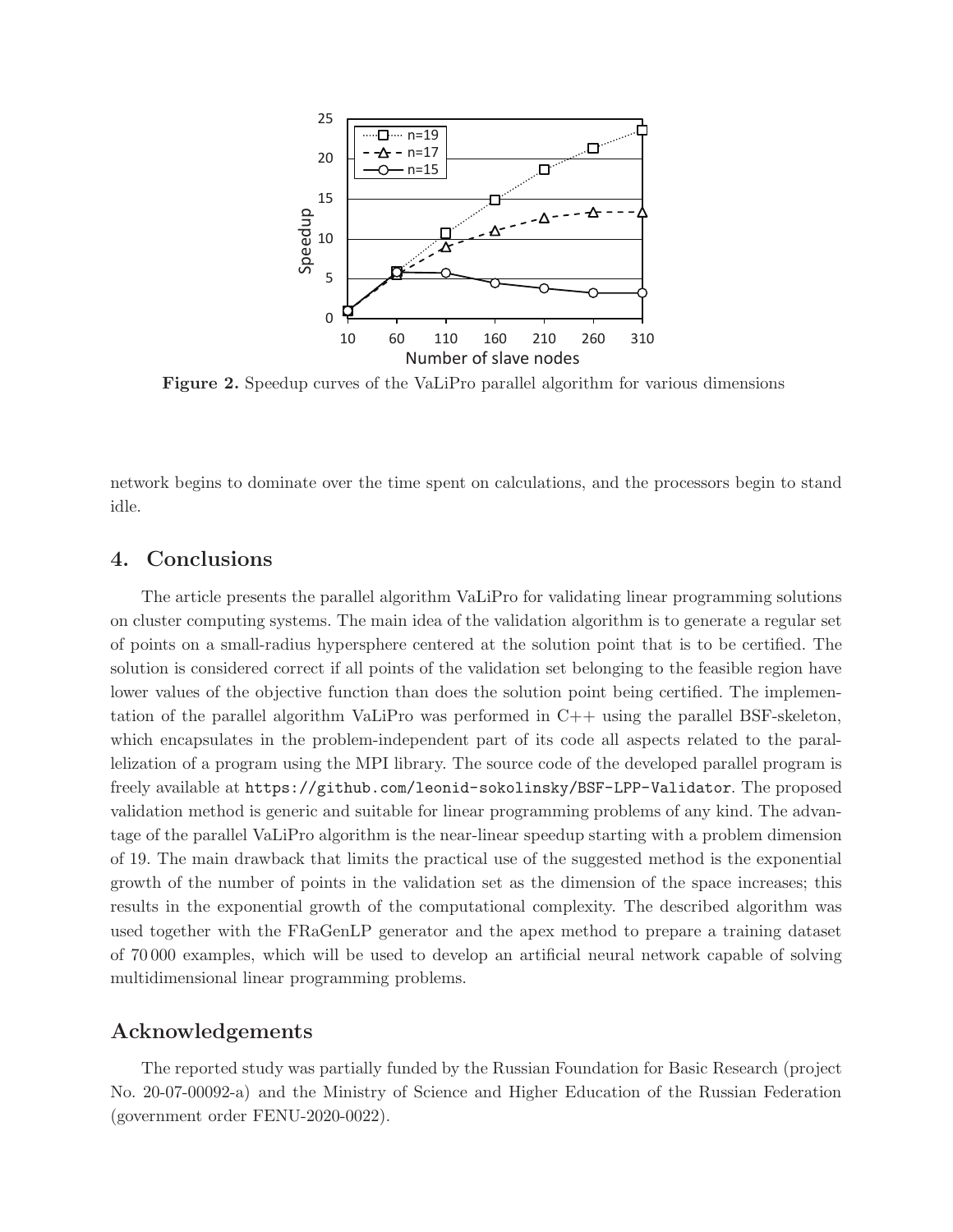<span id="page-8-1"></span>

Figure 2. Speedup curves of the VaLiPro parallel algorithm for various dimensions

network begins to dominate over the time spent on calculations, and the processors begin to stand idle.

#### <span id="page-8-0"></span>4. Conclusions

The article presents the parallel algorithm VaLiPro for validating linear programming solutions on cluster computing systems. The main idea of the validation algorithm is to generate a regular set of points on a small-radius hypersphere centered at the solution point that is to be certified. The solution is considered correct if all points of the validation set belonging to the feasible region have lower values of the objective function than does the solution point being certified. The implementation of the parallel algorithm VaLiPro was performed in  $C++$  using the parallel BSF-skeleton, which encapsulates in the problem-independent part of its code all aspects related to the parallelization of a program using the MPI library. The source code of the developed parallel program is freely available at <https://github.com/leonid-sokolinsky/BSF-LPP-Validator>. The proposed validation method is generic and suitable for linear programming problems of any kind. The advantage of the parallel VaLiPro algorithm is the near-linear speedup starting with a problem dimension of 19. The main drawback that limits the practical use of the suggested method is the exponential growth of the number of points in the validation set as the dimension of the space increases; this results in the exponential growth of the computational complexity. The described algorithm was used together with the FRaGenLP generator and the apex method to prepare a training dataset of 70 000 examples, which will be used to develop an artificial neural network capable of solving multidimensional linear programming problems.

#### Acknowledgements

The reported study was partially funded by the Russian Foundation for Basic Research (project No. 20-07-00092-a) and the Ministry of Science and Higher Education of the Russian Federation (government order FENU-2020-0022).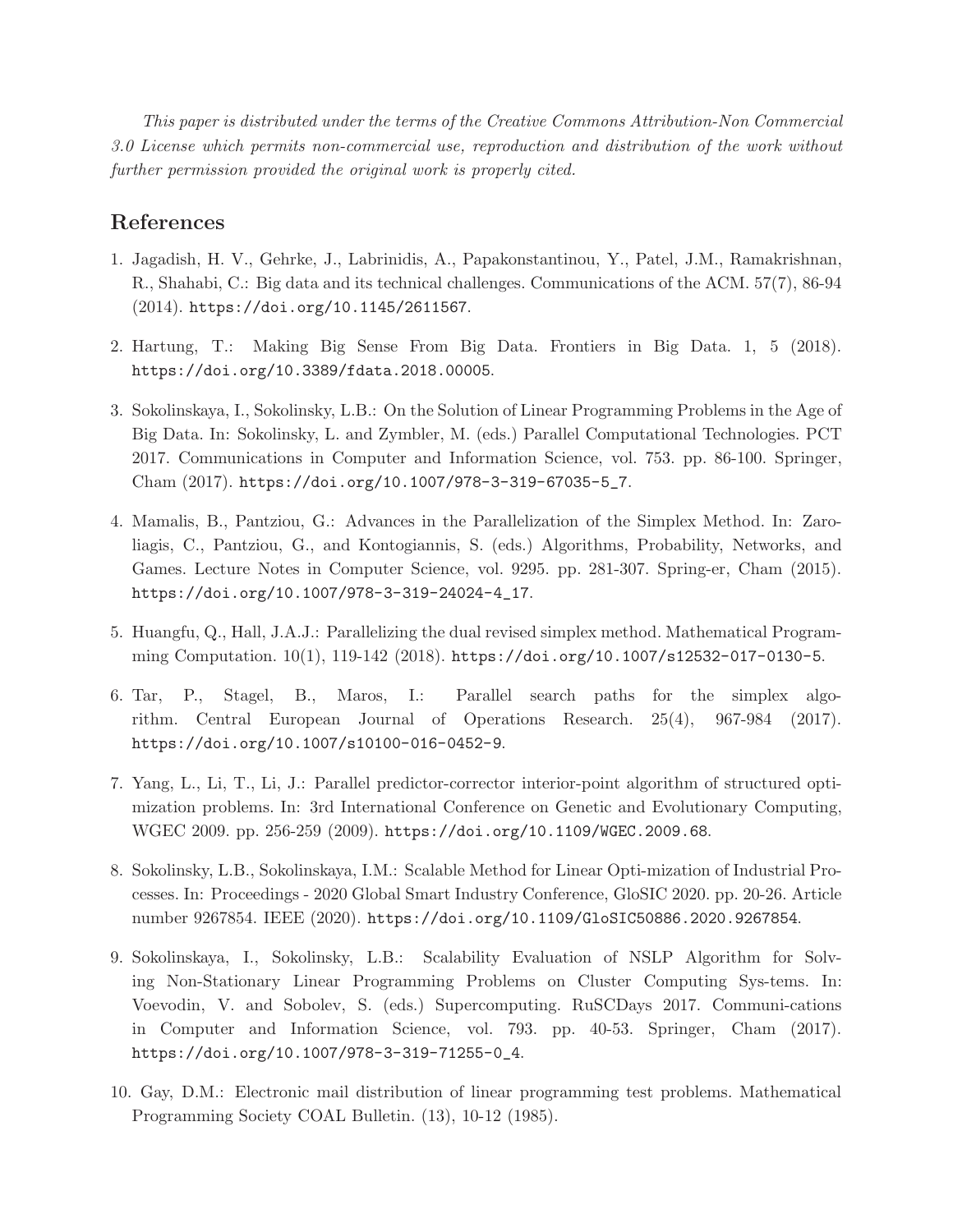This paper is distributed under the terms of the Creative Commons Attribution-Non Commercial 3.0 License which permits non-commercial use, reproduction and distribution of the work without further permission provided the original work is properly cited.

### <span id="page-9-0"></span>References

- 1. Jagadish, H. V., Gehrke, J., Labrinidis, A., Papakonstantinou, Y., Patel, J.M., Ramakrishnan, R., Shahabi, C.: Big data and its technical challenges. Communications of the ACM. 57(7), 86-94 (2014). <https://doi.org/10.1145/2611567>.
- <span id="page-9-2"></span><span id="page-9-1"></span>2. Hartung, T.: Making Big Sense From Big Data. Frontiers in Big Data. 1, 5 (2018). <https://doi.org/10.3389/fdata.2018.00005>.
- 3. Sokolinskaya, I., Sokolinsky, L.B.: On the Solution of Linear Programming Problems in the Age of Big Data. In: Sokolinsky, L. and Zymbler, M. (eds.) Parallel Computational Technologies. PCT 2017. Communications in Computer and Information Science, vol. 753. pp. 86-100. Springer, Cham (2017). [https://doi.org/10.1007/978-3-319-67035-5\\_7](https://doi.org/10.1007/978-3-319-67035-5_7).
- <span id="page-9-3"></span>4. Mamalis, B., Pantziou, G.: Advances in the Parallelization of the Simplex Method. In: Zaroliagis, C., Pantziou, G., and Kontogiannis, S. (eds.) Algorithms, Probability, Networks, and Games. Lecture Notes in Computer Science, vol. 9295. pp. 281-307. Spring-er, Cham (2015). [https://doi.org/10.1007/978-3-319-24024-4\\_17](https://doi.org/10.1007/978-3-319-24024-4_17).
- 5. Huangfu, Q., Hall, J.A.J.: Parallelizing the dual revised simplex method. Mathematical Programming Computation. 10(1), 119-142 (2018). <https://doi.org/10.1007/s12532-017-0130-5>.
- 6. Tar, P., Stagel, B., Maros, I.: Parallel search paths for the simplex algorithm. Central European Journal of Operations Research. 25(4), 967-984 (2017). <https://doi.org/10.1007/s10100-016-0452-9>.
- 7. Yang, L., Li, T., Li, J.: Parallel predictor-corrector interior-point algorithm of structured optimization problems. In: 3rd International Conference on Genetic and Evolutionary Computing, WGEC 2009. pp. 256-259 (2009). <https://doi.org/10.1109/WGEC.2009.68>.
- <span id="page-9-6"></span>8. Sokolinsky, L.B., Sokolinskaya, I.M.: Scalable Method for Linear Opti-mization of Industrial Processes. In: Proceedings - 2020 Global Smart Industry Conference, GloSIC 2020. pp. 20-26. Article number 9267854. IEEE (2020). <https://doi.org/10.1109/GloSIC50886.2020.9267854>.
- <span id="page-9-4"></span>9. Sokolinskaya, I., Sokolinsky, L.B.: Scalability Evaluation of NSLP Algorithm for Solving Non-Stationary Linear Programming Problems on Cluster Computing Sys-tems. In: Voevodin, V. and Sobolev, S. (eds.) Supercomputing. RuSCDays 2017. Communi-cations in Computer and Information Science, vol. 793. pp. 40-53. Springer, Cham (2017). [https://doi.org/10.1007/978-3-319-71255-0\\_4](https://doi.org/10.1007/978-3-319-71255-0_4).
- <span id="page-9-5"></span>10. Gay, D.M.: Electronic mail distribution of linear programming test problems. Mathematical Programming Society COAL Bulletin. (13), 10-12 (1985).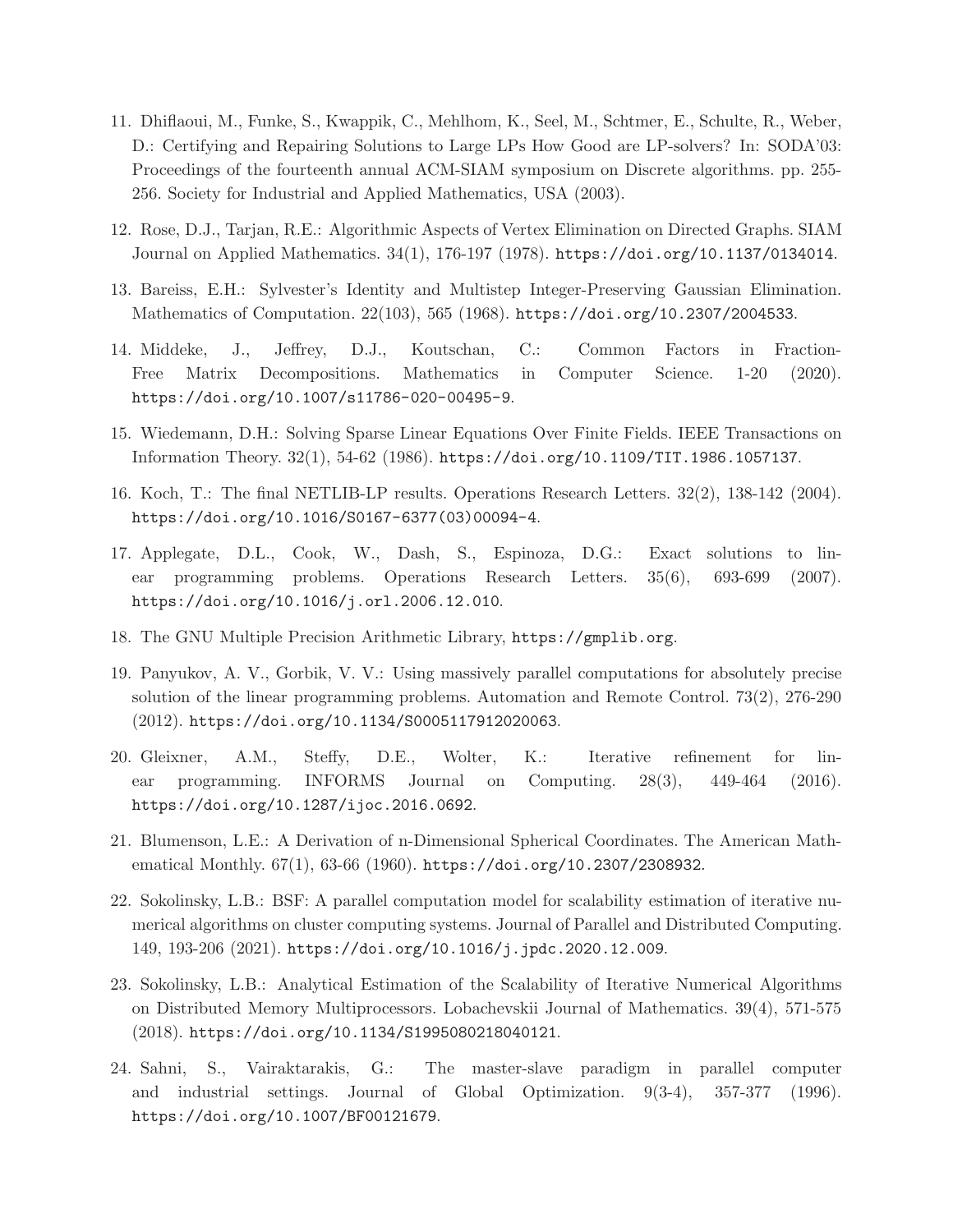- <span id="page-10-0"></span>11. Dhiflaoui, M., Funke, S., Kwappik, C., Mehlhom, K., Seel, M., Schtmer, E., Schulte, R., Weber, D.: Certifying and Repairing Solutions to Large LPs How Good are LP-solvers? In: SODA'03: Proceedings of the fourteenth annual ACM-SIAM symposium on Discrete algorithms. pp. 255- 256. Society for Industrial and Applied Mathematics, USA (2003).
- <span id="page-10-2"></span><span id="page-10-1"></span>12. Rose, D.J., Tarjan, R.E.: Algorithmic Aspects of Vertex Elimination on Directed Graphs. SIAM Journal on Applied Mathematics. 34(1), 176-197 (1978). <https://doi.org/10.1137/0134014>.
- <span id="page-10-3"></span>13. Bareiss, E.H.: Sylvester's Identity and Multistep Integer-Preserving Gaussian Elimination. Mathematics of Computation. 22(103), 565 (1968). <https://doi.org/10.2307/2004533>.
- 14. Middeke, J., Jeffrey, D.J., Koutschan, C.: Common Factors in Fraction-Free Matrix Decompositions. Mathematics in Computer Science. 1-20 (2020). <https://doi.org/10.1007/s11786-020-00495-9>.
- <span id="page-10-5"></span><span id="page-10-4"></span>15. Wiedemann, D.H.: Solving Sparse Linear Equations Over Finite Fields. IEEE Transactions on Information Theory. 32(1), 54-62 (1986). <https://doi.org/10.1109/TIT.1986.1057137>.
- <span id="page-10-6"></span>16. Koch, T.: The final NETLIB-LP results. Operations Research Letters. 32(2), 138-142 (2004). [https://doi.org/10.1016/S0167-6377\(03\)00094-4](https://doi.org/10.1016/S0167-6377(03)00094-4).
- 17. Applegate, D.L., Cook, W., Dash, S., Espinoza, D.G.: Exact solutions to linear programming problems. Operations Research Letters. 35(6), 693-699 (2007). <https://doi.org/10.1016/j.orl.2006.12.010>.
- <span id="page-10-8"></span><span id="page-10-7"></span>18. The GNU Multiple Precision Arithmetic Library, <https://gmplib.org>.
- 19. Panyukov, A. V., Gorbik, V. V.: Using massively parallel computations for absolutely precise solution of the linear programming problems. Automation and Remote Control. 73(2), 276-290 (2012). <https://doi.org/10.1134/S0005117912020063>.
- <span id="page-10-9"></span>20. Gleixner, A.M., Steffy, D.E., Wolter, K.: Iterative refinement for linear programming. INFORMS Journal on Computing. 28(3), 449-464 (2016). <https://doi.org/10.1287/ijoc.2016.0692>.
- <span id="page-10-11"></span><span id="page-10-10"></span>21. Blumenson, L.E.: A Derivation of n-Dimensional Spherical Coordinates. The American Mathematical Monthly.  $67(1)$ ,  $63-66$  (1960). <https://doi.org/10.2307/2308932>.
- 22. Sokolinsky, L.B.: BSF: A parallel computation model for scalability estimation of iterative numerical algorithms on cluster computing systems. Journal of Parallel and Distributed Computing. 149, 193-206 (2021). <https://doi.org/10.1016/j.jpdc.2020.12.009>.
- <span id="page-10-12"></span>23. Sokolinsky, L.B.: Analytical Estimation of the Scalability of Iterative Numerical Algorithms on Distributed Memory Multiprocessors. Lobachevskii Journal of Mathematics. 39(4), 571-575 (2018). <https://doi.org/10.1134/S1995080218040121>.
- <span id="page-10-13"></span>24. Sahni, S., Vairaktarakis, G.: The master-slave paradigm in parallel computer and industrial settings. Journal of Global Optimization. 9(3-4), 357-377 (1996). <https://doi.org/10.1007/BF00121679>.